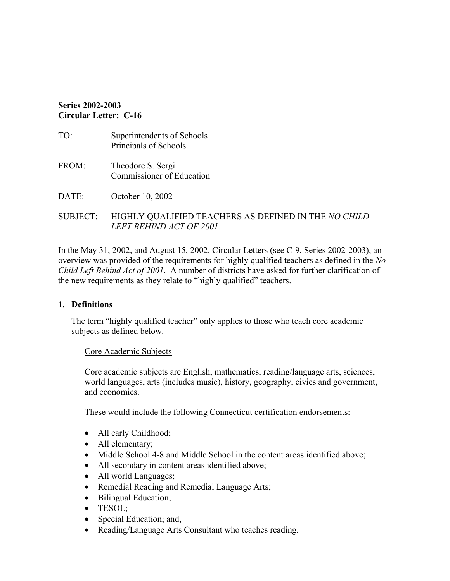#### **Series 2002-2003 Circular Letter: C-16**

- TO: Superintendents of Schools Principals of Schools FROM: Theodore S. Sergi Commissioner of Education
- DATE: October 10, 2002

#### SUBJECT: HIGHLY QUALIFIED TEACHERS AS DEFINED IN THE *NO CHILD LEFT BEHIND ACT OF 2001*

In the May 31, 2002, and August 15, 2002, Circular Letters (see C-9, Series 2002-2003), an overview was provided of the requirements for highly qualified teachers as defined in the *No Child Left Behind Act of 2001*. A number of districts have asked for further clarification of the new requirements as they relate to "highly qualified" teachers.

#### **1. Definitions**

The term "highly qualified teacher" only applies to those who teach core academic subjects as defined below.

#### Core Academic Subjects

Core academic subjects are English, mathematics, reading/language arts, sciences, world languages, arts (includes music), history, geography, civics and government, and economics.

These would include the following Connecticut certification endorsements:

- All early Childhood;
- All elementary;
- Middle School 4-8 and Middle School in the content areas identified above;
- All secondary in content areas identified above;
- All world Languages;
- Remedial Reading and Remedial Language Arts;
- Bilingual Education;
- TESOL;
- Special Education; and,
- Reading/Language Arts Consultant who teaches reading.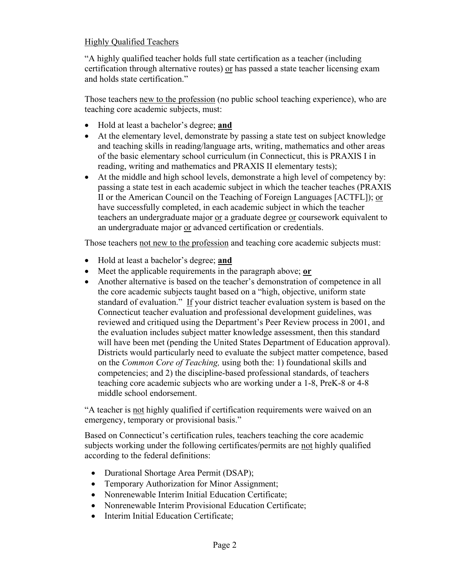#### Highly Qualified Teachers

"A highly qualified teacher holds full state certification as a teacher (including certification through alternative routes) or has passed a state teacher licensing exam and holds state certification."

Those teachers new to the profession (no public school teaching experience), who are teaching core academic subjects, must:

- Hold at least a bachelor's degree; **and**
- At the elementary level, demonstrate by passing a state test on subject knowledge and teaching skills in reading/language arts, writing, mathematics and other areas of the basic elementary school curriculum (in Connecticut, this is PRAXIS I in reading, writing and mathematics and PRAXIS II elementary tests);
- At the middle and high school levels, demonstrate a high level of competency by: passing a state test in each academic subject in which the teacher teaches (PRAXIS II or the American Council on the Teaching of Foreign Languages [ACTFL]); or have successfully completed, in each academic subject in which the teacher teachers an undergraduate major or a graduate degree or coursework equivalent to an undergraduate major or advanced certification or credentials.

Those teachers not new to the profession and teaching core academic subjects must:

- Hold at least a bachelor's degree; **and**
- Meet the applicable requirements in the paragraph above; **or**
- Another alternative is based on the teacher's demonstration of competence in all the core academic subjects taught based on a "high, objective, uniform state standard of evaluation." If your district teacher evaluation system is based on the Connecticut teacher evaluation and professional development guidelines, was reviewed and critiqued using the Department's Peer Review process in 2001, and the evaluation includes subject matter knowledge assessment, then this standard will have been met (pending the United States Department of Education approval). Districts would particularly need to evaluate the subject matter competence, based on the *Common Core of Teaching,* using both the: 1) foundational skills and competencies; and 2) the discipline-based professional standards, of teachers teaching core academic subjects who are working under a 1-8, PreK-8 or 4-8 middle school endorsement.

"A teacher is not highly qualified if certification requirements were waived on an emergency, temporary or provisional basis."

Based on Connecticut's certification rules, teachers teaching the core academic subjects working under the following certificates/permits are not highly qualified according to the federal definitions:

- Durational Shortage Area Permit (DSAP);
- Temporary Authorization for Minor Assignment;
- Nonrenewable Interim Initial Education Certificate;
- Nonrenewable Interim Provisional Education Certificate;
- Interim Initial Education Certificate;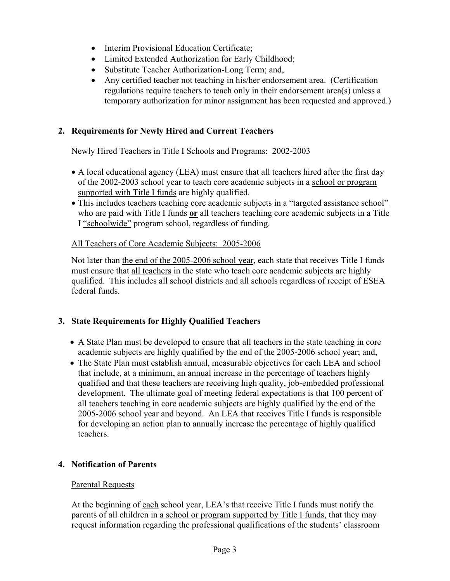- Interim Provisional Education Certificate;
- Limited Extended Authorization for Early Childhood;
- Substitute Teacher Authorization-Long Term; and,
- Any certified teacher not teaching in his/her endorsement area. (Certification regulations require teachers to teach only in their endorsement area(s) unless a temporary authorization for minor assignment has been requested and approved.)

## **2. Requirements for Newly Hired and Current Teachers**

## Newly Hired Teachers in Title I Schools and Programs: 2002-2003

- A local educational agency (LEA) must ensure that all teachers hired after the first day of the 2002-2003 school year to teach core academic subjects in a school or program supported with Title I funds are highly qualified.
- This includes teachers teaching core academic subjects in a "targeted assistance school" who are paid with Title I funds **or** all teachers teaching core academic subjects in a Title I "schoolwide" program school, regardless of funding.

#### All Teachers of Core Academic Subjects: 2005-2006

Not later than the end of the 2005-2006 school year, each state that receives Title I funds must ensure that all teachers in the state who teach core academic subjects are highly qualified. This includes all school districts and all schools regardless of receipt of ESEA federal funds.

## **3. State Requirements for Highly Qualified Teachers**

- A State Plan must be developed to ensure that all teachers in the state teaching in core academic subjects are highly qualified by the end of the 2005-2006 school year; and,
- The State Plan must establish annual, measurable objectives for each LEA and school that include, at a minimum, an annual increase in the percentage of teachers highly qualified and that these teachers are receiving high quality, job-embedded professional development. The ultimate goal of meeting federal expectations is that 100 percent of all teachers teaching in core academic subjects are highly qualified by the end of the 2005-2006 school year and beyond. An LEA that receives Title I funds is responsible for developing an action plan to annually increase the percentage of highly qualified teachers.

## **4. Notification of Parents**

## Parental Requests

At the beginning of each school year, LEA's that receive Title I funds must notify the parents of all children in a school or program supported by Title I funds, that they may request information regarding the professional qualifications of the students' classroom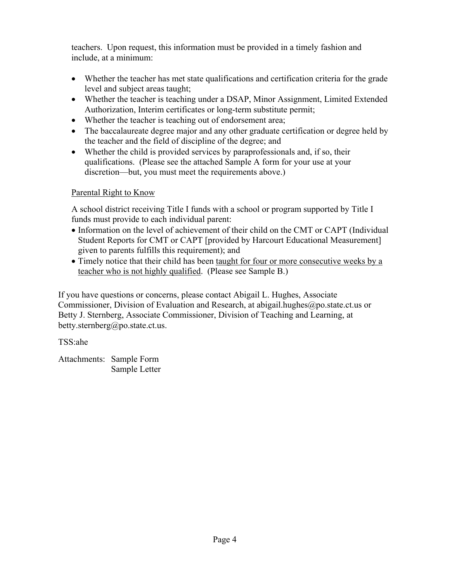teachers. Upon request, this information must be provided in a timely fashion and include, at a minimum:

- Whether the teacher has met state qualifications and certification criteria for the grade level and subject areas taught;
- Whether the teacher is teaching under a DSAP, Minor Assignment, Limited Extended Authorization, Interim certificates or long-term substitute permit;
- Whether the teacher is teaching out of endorsement area;
- The baccalaureate degree major and any other graduate certification or degree held by the teacher and the field of discipline of the degree; and
- Whether the child is provided services by paraprofessionals and, if so, their qualifications. (Please see the attached Sample A form for your use at your discretion—but, you must meet the requirements above.)

## Parental Right to Know

A school district receiving Title I funds with a school or program supported by Title I funds must provide to each individual parent:

- Information on the level of achievement of their child on the CMT or CAPT (Individual Student Reports for CMT or CAPT [provided by Harcourt Educational Measurement] given to parents fulfills this requirement); and
- Timely notice that their child has been taught for four or more consecutive weeks by a teacher who is not highly qualified. (Please see Sample B.)

If you have questions or concerns, please contact Abigail L. Hughes, Associate Commissioner, Division of Evaluation and Research, at abigail.hughes@po.state.ct.us or Betty J. Sternberg, Associate Commissioner, Division of Teaching and Learning, at betty.sternberg@po.state.ct.us.

TSS:ahe

Attachments: Sample Form Sample Letter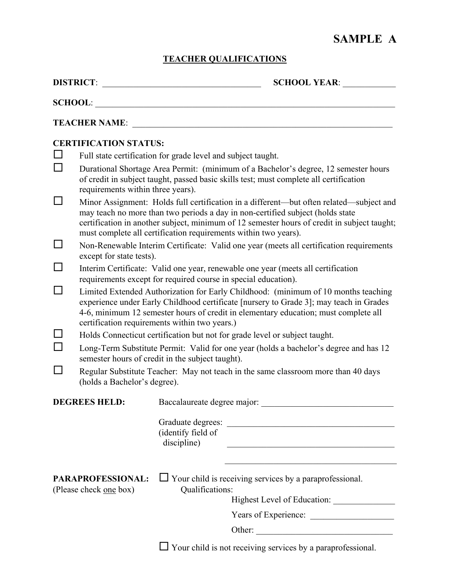# **SAMPLE A**

## **TEACHER QUALIFICATIONS**

|                                             |                                                                                                                                                                                                                                                                                                                                                                                                                                                                                                                                                                                                                                                                                                                                                                                                                                                                                                                                                                                                                                                                                                                                                                                                                                                                                                                                                                                                                                                                                                                                                                                        | <b>SCHOOL YEAR:</b>                                                                                                                                                                                                                                                           |
|---------------------------------------------|----------------------------------------------------------------------------------------------------------------------------------------------------------------------------------------------------------------------------------------------------------------------------------------------------------------------------------------------------------------------------------------------------------------------------------------------------------------------------------------------------------------------------------------------------------------------------------------------------------------------------------------------------------------------------------------------------------------------------------------------------------------------------------------------------------------------------------------------------------------------------------------------------------------------------------------------------------------------------------------------------------------------------------------------------------------------------------------------------------------------------------------------------------------------------------------------------------------------------------------------------------------------------------------------------------------------------------------------------------------------------------------------------------------------------------------------------------------------------------------------------------------------------------------------------------------------------------------|-------------------------------------------------------------------------------------------------------------------------------------------------------------------------------------------------------------------------------------------------------------------------------|
|                                             |                                                                                                                                                                                                                                                                                                                                                                                                                                                                                                                                                                                                                                                                                                                                                                                                                                                                                                                                                                                                                                                                                                                                                                                                                                                                                                                                                                                                                                                                                                                                                                                        |                                                                                                                                                                                                                                                                               |
|                                             |                                                                                                                                                                                                                                                                                                                                                                                                                                                                                                                                                                                                                                                                                                                                                                                                                                                                                                                                                                                                                                                                                                                                                                                                                                                                                                                                                                                                                                                                                                                                                                                        |                                                                                                                                                                                                                                                                               |
|                                             | <b>CERTIFICATION STATUS:</b><br>Full state certification for grade level and subject taught.<br>Durational Shortage Area Permit: (minimum of a Bachelor's degree, 12 semester hours<br>of credit in subject taught, passed basic skills test; must complete all certification<br>requirements within three years).<br>Minor Assignment: Holds full certification in a different—but often related—subject and<br>may teach no more than two periods a day in non-certified subject (holds state<br>certification in another subject, minimum of 12 semester hours of credit in subject taught;<br>must complete all certification requirements within two years).<br>Non-Renewable Interim Certificate: Valid one year (meets all certification requirements<br>except for state tests).<br>Interim Certificate: Valid one year, renewable one year (meets all certification<br>requirements except for required course in special education).<br>Limited Extended Authorization for Early Childhood: (minimum of 10 months teaching<br>experience under Early Childhood certificate [nursery to Grade 3]; may teach in Grades<br>4-6, minimum 12 semester hours of credit in elementary education; must complete all<br>certification requirements within two years.)<br>Holds Connecticut certification but not for grade level or subject taught.<br>Long-Term Substitute Permit: Valid for one year (holds a bachelor's degree and has 12<br>semester hours of credit in the subject taught).<br>Regular Substitute Teacher: May not teach in the same classroom more than 40 days |                                                                                                                                                                                                                                                                               |
|                                             |                                                                                                                                                                                                                                                                                                                                                                                                                                                                                                                                                                                                                                                                                                                                                                                                                                                                                                                                                                                                                                                                                                                                                                                                                                                                                                                                                                                                                                                                                                                                                                                        |                                                                                                                                                                                                                                                                               |
| PARAPROFESSIONAL:<br>(Please check one box) |                                                                                                                                                                                                                                                                                                                                                                                                                                                                                                                                                                                                                                                                                                                                                                                                                                                                                                                                                                                                                                                                                                                                                                                                                                                                                                                                                                                                                                                                                                                                                                                        | (identify field of<br>discipline)<br><u> 1989 - Johann John Stone, mars eta bainar eta bainar eta baina eta baina eta baina eta baina eta baina eta b</u><br>$\Box$ Your child is receiving services by a paraprofessional.<br>Qualifications:<br>Highest Level of Education: |
|                                             |                                                                                                                                                                                                                                                                                                                                                                                                                                                                                                                                                                                                                                                                                                                                                                                                                                                                                                                                                                                                                                                                                                                                                                                                                                                                                                                                                                                                                                                                                                                                                                                        | Years of Experience:                                                                                                                                                                                                                                                          |
|                                             |                                                                                                                                                                                                                                                                                                                                                                                                                                                                                                                                                                                                                                                                                                                                                                                                                                                                                                                                                                                                                                                                                                                                                                                                                                                                                                                                                                                                                                                                                                                                                                                        |                                                                                                                                                                                                                                                                               |
|                                             |                                                                                                                                                                                                                                                                                                                                                                                                                                                                                                                                                                                                                                                                                                                                                                                                                                                                                                                                                                                                                                                                                                                                                                                                                                                                                                                                                                                                                                                                                                                                                                                        | $\Box$ Your child is not receiving services by a paraprofessional.                                                                                                                                                                                                            |